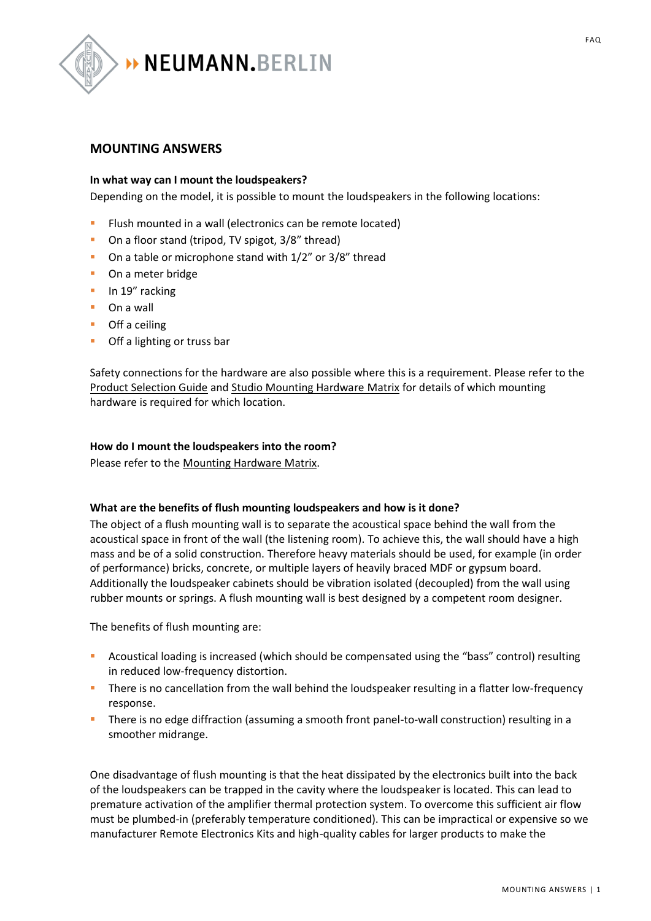

# **MOUNTING ANSWERS**

## **In what way can I mount the loudspeakers?**

Depending on the model, it is possible to mount the loudspeakers in the following locations:

- **EXECT** Flush mounted in a wall (electronics can be remote located)
- On a floor stand (tripod, TV spigot, 3/8" thread)
- On a table or microphone stand with  $1/2$ " or  $3/8$ " thread
- On a meter bridge
- In 19" racking
- On a wall
- Off a ceiling
- Off a lighting or truss bar

Safety connections for the hardware are also possible where this is a requirement. Please refer to the [Product Selection Guide](http://en-de.neumann.com/product_files/7669/download) an[d Studio Mounting Hardware Matrix](http://en-de.neumann.com/product_files/7657/download) for details of which mounting hardware is required for which location.

#### **How do I mount the loudspeakers into the room?**

Please refer to the [Mounting Hardware Matrix.](http://en-de.neumann.com/product_files/7657/download)

## **What are the benefits of flush mounting loudspeakers and how is it done?**

The object of a flush mounting wall is to separate the acoustical space behind the wall from the acoustical space in front of the wall (the listening room). To achieve this, the wall should have a high mass and be of a solid construction. Therefore heavy materials should be used, for example (in order of performance) bricks, concrete, or multiple layers of heavily braced MDF or gypsum board. Additionally the loudspeaker cabinets should be vibration isolated (decoupled) from the wall using rubber mounts or springs. A flush mounting wall is best designed by a competent room designer.

The benefits of flush mounting are:

- **E** Acoustical loading is increased (which should be compensated using the "bass" control) resulting in reduced low-frequency distortion.
- **EXECT** There is no cancellation from the wall behind the loudspeaker resulting in a flatter low-frequency response.
- There is no edge diffraction (assuming a smooth front panel-to-wall construction) resulting in a smoother midrange.

One disadvantage of flush mounting is that the heat dissipated by the electronics built into the back of the loudspeakers can be trapped in the cavity where the loudspeaker is located. This can lead to premature activation of the amplifier thermal protection system. To overcome this sufficient air flow must be plumbed-in (preferably temperature conditioned). This can be impractical or expensive so we manufacturer Remote Electronics Kits and high-quality cables for larger products to make the